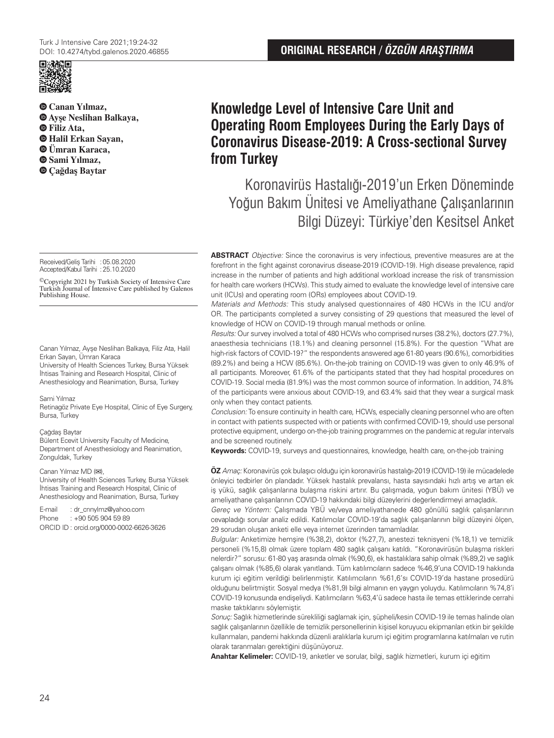

**Canan Yılmaz, Ayşe Neslihan Balkaya, Filiz Ata, Halil Erkan Sayan, Ümran Karaca, Sami Yılmaz, Çağdaş Baytar**

Received/Geliş Tarihi :05.08.2020 Accepted/Kabul Tarihi :25.10.2020

©Copyright 2021 by Turkish Society of Intensive Care Turkish Journal of Intensive Care published by Galenos Publishing House.

Canan Yılmaz, Ayşe Neslihan Balkaya, Filiz Ata, Halil Erkan Sayan, Ümran Karaca University of Health Sciences Turkey, Bursa Yüksek İhtisas Training and Research Hospital, Clinic of Anesthesiology and Reanimation, Bursa, Turkey

#### Sami Yılmaz

Retinagöz Private Eye Hospital, Clinic of Eye Surgery, Bursa, Turkey

### Çağdaş Baytar

Bülent Ecevit University Faculty of Medicine, Department of Anesthesiology and Reanimation, Zonguldak, Turkey

#### Canan Yılmaz MD (**✉**),

University of Health Sciences Turkey, Bursa Yüksek İhtisas Training and Research Hospital, Clinic of Anesthesiology and Reanimation, Bursa, Turkey

E-mail : dr\_cnnylmz@yahoo.com Phone : +90 505 904 59 89 ORCID ID : orcid.org/0000-0002-6626-3626

# **Knowledge Level of Intensive Care Unit and Operating Room Employees During the Early Days of Coronavirus Disease-2019: A Cross-sectional Survey from Turkey**

Koronavirüs Hastalığı-2019'un Erken Döneminde Yoğun Bakım Ünitesi ve Ameliyathane Çalışanlarının Bilgi Düzeyi: Türkiye'den Kesitsel Anket

**ABSTRACT** Objective: Since the coronavirus is very infectious, preventive measures are at the forefront in the fight against coronavirus disease-2019 (COVID-19). High disease prevalence, rapid increase in the number of patients and high additional workload increase the risk of transmission for health care workers (HCWs). This study aimed to evaluate the knowledge level of intensive care unit (ICUs) and operating room (ORs) employees about COVID-19.

Materials and Methods: This study analysed questionnaires of 480 HCWs in the ICU and/or OR. The participants completed a survey consisting of 29 questions that measured the level of knowledge of HCW on COVID-19 through manual methods or online.

Results: Our survey involved a total of 480 HCWs who comprised nurses (38.2%), doctors (27.7%), anaesthesia technicians (18.1%) and cleaning personnel (15.8%). For the question "What are high-risk factors of COVID-19?" the respondents answered age 61-80 years (90.6%), comorbidities (89.2%) and being a HCW (85.6%). On-the-job training on COVID-19 was given to only 46.9% of all participants. Moreover, 61.6% of the participants stated that they had hospital procedures on COVID-19. Social media (81.9%) was the most common source of information. In addition, 74.8% of the participants were anxious about COVID-19, and 63.4% said that they wear a surgical mask only when they contact patients.

Conclusion: To ensure continuity in health care, HCWs, especially cleaning personnel who are often in contact with patients suspected with or patients with confirmed COVID-19, should use personal protective equipment, undergo on-the-job training programmes on the pandemic at regular intervals and be screened routinely.

**Keywords:** COVID-19, surveys and questionnaires, knowledge, health care, on-the-job training

**ÖZ** Amaç: Koronavirüs çok bulaşıcı olduğu için koronavirüs hastalığı-2019 (COVID-19) ile mücadelede önleyici tedbirler ön plandadır. Yüksek hastalık prevalansı, hasta sayısındaki hızlı artış ve artan ek iş yükü, sağlık çalışanlarına bulaşma riskini artırır. Bu çalışmada, yoğun bakım ünitesi (YBÜ) ve ameliyathane çalışanlarının COVID-19 hakkındaki bilgi düzeylerini değerlendirmeyi amaçladık.

Gereç ve Yöntem: Çalışmada YBÜ ve/veya ameliyathanede 480 gönüllü sağlık çalışanlarının cevapladığı sorular analiz edildi. Katılımcılar COVID-19'da sağlık çalışanlarının bilgi düzeyini ölçen, 29 sorudan oluşan anketi elle veya internet üzerinden tamamladılar.

Bulgular: Anketimize hemşire (%38,2), doktor (%27,7), anestezi teknisyeni (%18,1) ve temizlik personeli (%15,8) olmak üzere toplam 480 sağlık çalışanı katıldı. "Koronavirüsün bulaşma riskleri nelerdir?" sorusu: 61-80 yaş arasında olmak (%90,6), ek hastalıklara sahip olmak (%89,2) ve sağlık çalışanı olmak (%85,6) olarak yanıtlandı. Tüm katılımcıların sadece %46,9'una COVID-19 hakkında kurum içi eğitim verildiği belirlenmiştir. Katılımcıların %61,6'sı COVID-19'da hastane prosedürü olduğunu belirtmiştir. Sosyal medya (%81,9) bilgi almanın en yaygın yoluydu. Katılımcıların %74,8'i COVID-19 konusunda endişeliydi. Katılımcıların %63,4'ü sadece hasta ile temas ettiklerinde cerrahi maske taktıklarını söylemiştir.

Sonuç: Sağlık hizmetlerinde sürekliliği sağlamak için, şüpheli/kesin COVID-19 ile temas halinde olan sağlık çalışanlarının özellikle de temizlik personellerinin kişisel koruyucu ekipmanları etkin bir şekilde kullanmaları, pandemi hakkında düzenli aralıklarla kurum içi eğitim programlarına katılmaları ve rutin olarak taranmaları gerektiğini düşünüyoruz.

**Anahtar Kelimeler:** COVID-19, anketler ve sorular, bilgi, sağlık hizmetleri, kurum içi eğitim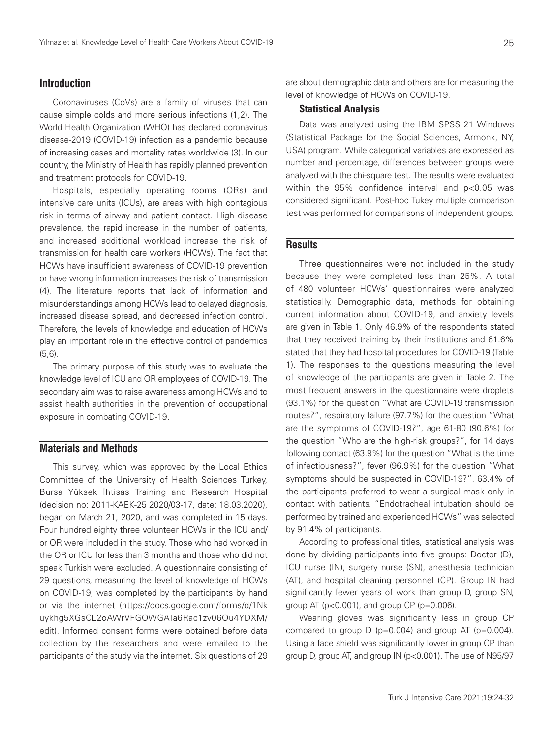# **Introduction**

Coronaviruses (CoVs) are a family of viruses that can cause simple colds and more serious infections (1,2). The World Health Organization (WHO) has declared coronavirus disease-2019 (COVID-19) infection as a pandemic because of increasing cases and mortality rates worldwide (3). In our country, the Ministry of Health has rapidly planned prevention and treatment protocols for COVID-19.

Hospitals, especially operating rooms (ORs) and intensive care units (ICUs), are areas with high contagious risk in terms of airway and patient contact. High disease prevalence, the rapid increase in the number of patients, and increased additional workload increase the risk of transmission for health care workers (HCWs). The fact that HCWs have insufficient awareness of COVID-19 prevention or have wrong information increases the risk of transmission (4). The literature reports that lack of information and misunderstandings among HCWs lead to delayed diagnosis, increased disease spread, and decreased infection control. Therefore, the levels of knowledge and education of HCWs play an important role in the effective control of pandemics (5,6).

The primary purpose of this study was to evaluate the knowledge level of ICU and OR employees of COVID-19. The secondary aim was to raise awareness among HCWs and to assist health authorities in the prevention of occupational exposure in combating COVID-19.

# **Materials and Methods**

This survey, which was approved by the Local Ethics Committee of the University of Health Sciences Turkey, Bursa Yüksek İhtisas Training and Research Hospital (decision no: 2011-KAEK-25 2020/03-17, date: 18.03.2020), began on March 21, 2020, and was completed in 15 days. Four hundred eighty three volunteer HCWs in the ICU and/ or OR were included in the study. Those who had worked in the OR or ICU for less than 3 months and those who did not speak Turkish were excluded. A questionnaire consisting of 29 questions, measuring the level of knowledge of HCWs on COVID-19, was completed by the participants by hand or via the internet (https://docs.google.com/forms/d/1Nk uykhg5XGsCL2oAWrVFGOWGATa6Rac1zv06Ou4YDXM/ edit). Informed consent forms were obtained before data collection by the researchers and were emailed to the participants of the study via the internet. Six questions of 29

are about demographic data and others are for measuring the level of knowledge of HCWs on COVID-19.

## Statistical Analysis

Data was analyzed using the IBM SPSS 21 Windows (Statistical Package for the Social Sciences, Armonk, NY, USA) program. While categorical variables are expressed as number and percentage, differences between groups were analyzed with the chi-square test. The results were evaluated within the 95% confidence interval and p<0.05 was considered significant. Post-hoc Tukey multiple comparison test was performed for comparisons of independent groups.

# **Results**

Three questionnaires were not included in the study because they were completed less than 25%. A total of 480 volunteer HCWs' questionnaires were analyzed statistically. Demographic data, methods for obtaining current information about COVID-19, and anxiety levels are given in Table 1. Only 46.9% of the respondents stated that they received training by their institutions and 61.6% stated that they had hospital procedures for COVID-19 (Table 1). The responses to the questions measuring the level of knowledge of the participants are given in Table 2. The most frequent answers in the questionnaire were droplets (93.1%) for the question "What are COVID-19 transmission routes?", respiratory failure (97.7%) for the question "What are the symptoms of COVID-19?", age 61-80 (90.6%) for the question "Who are the high-risk groups?", for 14 days following contact (63.9%) for the question "What is the time of infectiousness?", fever (96.9%) for the question "What symptoms should be suspected in COVID-19?". 63.4% of the participants preferred to wear a surgical mask only in contact with patients. "Endotracheal intubation should be performed by trained and experienced HCWs" was selected by 91.4% of participants.

According to professional titles, statistical analysis was done by dividing participants into five groups: Doctor (D), ICU nurse (IN), surgery nurse (SN), anesthesia technician (AT), and hospital cleaning personnel (CP). Group IN had significantly fewer years of work than group D, group SN, group AT ( $p < 0.001$ ), and group CP ( $p = 0.006$ ).

Wearing gloves was significantly less in group CP compared to group  $D$  (p=0.004) and group AT (p=0.004). Using a face shield was significantly lower in group CP than group D, group AT, and group IN (p<0.001). The use of N95/97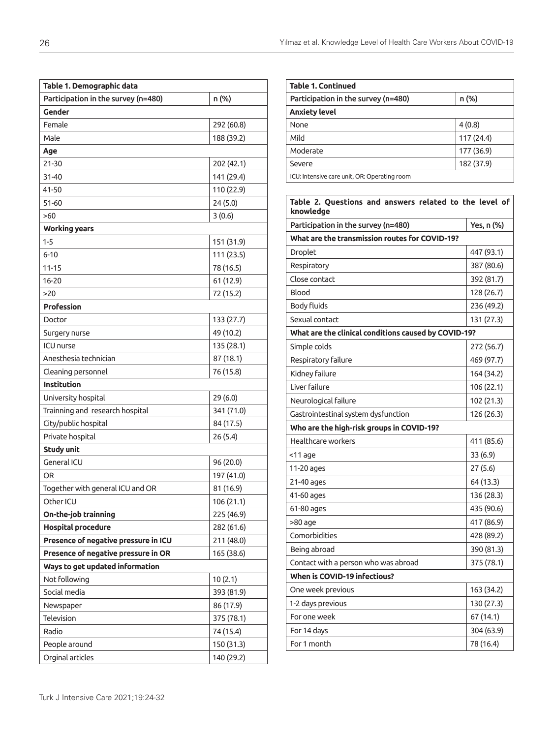| Table 1. Demographic data            |            |  |  |  |
|--------------------------------------|------------|--|--|--|
| Participation in the survey (n=480)  | n (%)      |  |  |  |
| Gender                               |            |  |  |  |
| Female                               | 292 (60.8) |  |  |  |
| Male                                 | 188 (39.2) |  |  |  |
| Age                                  |            |  |  |  |
| 21-30                                | 202 (42.1) |  |  |  |
| 31-40                                | 141 (29.4) |  |  |  |
| 41-50                                | 110 (22.9) |  |  |  |
| 51-60                                | 24(5.0)    |  |  |  |
| >60                                  | 3(0.6)     |  |  |  |
| <b>Working years</b>                 |            |  |  |  |
| $1 - 5$                              | 151 (31.9) |  |  |  |
| $6 - 10$                             | 111 (23.5) |  |  |  |
| $11 - 15$                            | 78 (16.5)  |  |  |  |
| $16 - 20$                            | 61 (12.9)  |  |  |  |
| >20                                  | 72 (15.2)  |  |  |  |
| <b>Profession</b>                    |            |  |  |  |
| Doctor                               | 133 (27.7) |  |  |  |
| Surgery nurse                        | 49 (10.2)  |  |  |  |
| <b>ICU</b> nurse                     | 135 (28.1) |  |  |  |
| Anesthesia technician                | 87 (18.1)  |  |  |  |
| Cleaning personnel                   | 76 (15.8)  |  |  |  |
| <b>Institution</b>                   |            |  |  |  |
| University hospital                  | 29(6.0)    |  |  |  |
| Trainning and research hospital      | 341 (71.0) |  |  |  |
| City/public hospital                 | 84 (17.5)  |  |  |  |
| Private hospital                     | 26 (5.4)   |  |  |  |
| <b>Study unit</b>                    |            |  |  |  |
| General ICU                          | 96 (20.0)  |  |  |  |
| OR                                   | 197 (41.0) |  |  |  |
| Together with general ICU and OR     | 81 (16.9)  |  |  |  |
| Other ICU                            | 106 (21.1) |  |  |  |
| On-the-job trainning                 | 225 (46.9) |  |  |  |
| <b>Hospital procedure</b>            | 282 (61.6) |  |  |  |
| Presence of negative pressure in ICU | 211 (48.0) |  |  |  |
| Presence of negative pressure in OR  | 165 (38.6) |  |  |  |
| Ways to get updated information      |            |  |  |  |
| Not following                        | 10(2.1)    |  |  |  |
| Social media                         | 393 (81.9) |  |  |  |
| Newspaper                            | 86 (17.9)  |  |  |  |
| Television                           | 375 (78.1) |  |  |  |
| Radio                                | 74 (15.4)  |  |  |  |
| People around                        | 150 (31.3) |  |  |  |
| Orginal articles                     | 140 (29.2) |  |  |  |

| <b>Table 1. Continued</b>                                           |            |  |  |  |  |  |
|---------------------------------------------------------------------|------------|--|--|--|--|--|
| Participation in the survey (n=480)                                 | n (%)      |  |  |  |  |  |
| <b>Anxiety level</b>                                                |            |  |  |  |  |  |
| None                                                                | 4(0.8)     |  |  |  |  |  |
| Mild                                                                | 117 (24.4) |  |  |  |  |  |
| Moderate                                                            | 177 (36.9) |  |  |  |  |  |
| Severe                                                              | 182 (37.9) |  |  |  |  |  |
| ICU: Intensive care unit, OR: Operating room                        |            |  |  |  |  |  |
|                                                                     |            |  |  |  |  |  |
| Table 2. Questions and answers related to the level of<br>knowledge |            |  |  |  |  |  |
| Participation in the survey (n=480)                                 | Yes, n (%) |  |  |  |  |  |
| What are the transmission routes for COVID-19?                      |            |  |  |  |  |  |
| Droplet                                                             | 447 (93.1) |  |  |  |  |  |
| Respiratory                                                         | 387 (80.6) |  |  |  |  |  |
| Close contact                                                       | 392 (81.7) |  |  |  |  |  |
| Blood                                                               | 128 (26.7) |  |  |  |  |  |
| <b>Body fluids</b>                                                  | 236 (49.2) |  |  |  |  |  |
| Sexual contact                                                      | 131 (27.3) |  |  |  |  |  |
| What are the clinical conditions caused by COVID-19?                |            |  |  |  |  |  |
| Simple colds                                                        | 272 (56.7) |  |  |  |  |  |
| Respiratory failure                                                 | 469 (97.7) |  |  |  |  |  |
| Kidney failure                                                      | 164 (34.2) |  |  |  |  |  |
| Liver failure                                                       | 106 (22.1) |  |  |  |  |  |
| Neurological failure                                                | 102 (21.3) |  |  |  |  |  |
| Gastrointestinal system dysfunction                                 | 126 (26.3) |  |  |  |  |  |
| Who are the high-risk groups in COVID-19?                           |            |  |  |  |  |  |
| Healthcare workers                                                  | 411 (85.6) |  |  |  |  |  |
| <11 age                                                             | 33(6.9)    |  |  |  |  |  |
| 11-20 ages                                                          | 27(5.6)    |  |  |  |  |  |
| 21-40 ages                                                          | 64 (13.3)  |  |  |  |  |  |
| 41-60 ages                                                          | 136 (28.3) |  |  |  |  |  |
| 61-80 ages                                                          | 435 (90.6) |  |  |  |  |  |
| >80 age                                                             | 417 (86.9) |  |  |  |  |  |
| Comorbidities                                                       | 428 (89.2) |  |  |  |  |  |
| Being abroad                                                        | 390 (81.3) |  |  |  |  |  |
| Contact with a person who was abroad                                | 375 (78.1) |  |  |  |  |  |
| When is COVID-19 infectious?                                        |            |  |  |  |  |  |
| One week previous                                                   | 163 (34.2) |  |  |  |  |  |
| 1-2 days previous                                                   | 130 (27.3) |  |  |  |  |  |
| For one week                                                        | 67 (14.1)  |  |  |  |  |  |
| For 14 days                                                         | 304 (63.9) |  |  |  |  |  |
| For 1 month                                                         | 78 (16.4)  |  |  |  |  |  |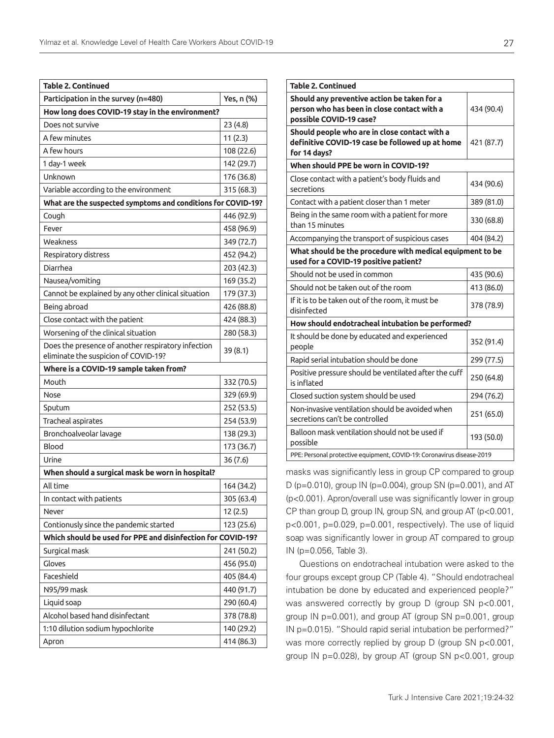| v   |  |
|-----|--|
| . . |  |

| <b>Table 2. Continued</b>                                                                  |            |  |  |  |  |
|--------------------------------------------------------------------------------------------|------------|--|--|--|--|
| Participation in the survey (n=480)                                                        | Yes, n (%) |  |  |  |  |
| How long does COVID-19 stay in the environment?                                            |            |  |  |  |  |
| Does not survive                                                                           | 23(4.8)    |  |  |  |  |
| A few minutes                                                                              | 11(2.3)    |  |  |  |  |
| A few hours                                                                                | 108 (22.6) |  |  |  |  |
| 1 day-1 week                                                                               | 142 (29.7) |  |  |  |  |
| Unknown                                                                                    | 176 (36.8) |  |  |  |  |
| Variable according to the environment                                                      | 315 (68.3) |  |  |  |  |
| What are the suspected symptoms and conditions for COVID-19?                               |            |  |  |  |  |
| Cough                                                                                      | 446 (92.9) |  |  |  |  |
| Fever                                                                                      | 458 (96.9) |  |  |  |  |
| Weakness                                                                                   | 349 (72.7) |  |  |  |  |
| Respiratory distress                                                                       | 452 (94.2) |  |  |  |  |
| Diarrhea                                                                                   | 203 (42.3) |  |  |  |  |
| Nausea/vomiting                                                                            | 169 (35.2) |  |  |  |  |
| Cannot be explained by any other clinical situation                                        | 179 (37.3) |  |  |  |  |
| Being abroad                                                                               | 426 (88.8) |  |  |  |  |
| Close contact with the patient                                                             | 424 (88.3) |  |  |  |  |
| Worsening of the clinical situation                                                        | 280 (58.3) |  |  |  |  |
| Does the presence of another respiratory infection<br>eliminate the suspicion of COVID-19? | 39(8.1)    |  |  |  |  |
| Where is a COVID-19 sample taken from?                                                     |            |  |  |  |  |
| Mouth                                                                                      | 332 (70.5) |  |  |  |  |
| Nose                                                                                       | 329 (69.9) |  |  |  |  |
| Sputum                                                                                     | 252 (53.5) |  |  |  |  |
| Tracheal aspirates                                                                         | 254 (53.9) |  |  |  |  |
| Bronchoalveolar lavage                                                                     | 138 (29.3) |  |  |  |  |
| Blood                                                                                      | 173 (36.7) |  |  |  |  |
| Urine                                                                                      | 36(7.6)    |  |  |  |  |
| When should a surgical mask be worn in hospital?                                           |            |  |  |  |  |
| All time                                                                                   | 164 (34.2) |  |  |  |  |
| In contact with patients                                                                   | 305 (63.4) |  |  |  |  |
| Never                                                                                      | 12(2.5)    |  |  |  |  |
| Contionusly since the pandemic started                                                     | 123 (25.6) |  |  |  |  |
| Which should be used for PPE and disinfection for COVID-19?                                |            |  |  |  |  |
| Surgical mask                                                                              | 241 (50.2) |  |  |  |  |
| Gloves                                                                                     | 456 (95.0) |  |  |  |  |
| Faceshield                                                                                 | 405 (84.4) |  |  |  |  |
| N95/99 mask                                                                                | 440 (91.7) |  |  |  |  |
| Liquid soap                                                                                | 290 (60.4) |  |  |  |  |
| Alcohol based hand disinfectant                                                            | 378 (78.8) |  |  |  |  |
| 1:10 dilution sodium hypochlorite                                                          | 140 (29.2) |  |  |  |  |
| Apron                                                                                      | 414 (86.3) |  |  |  |  |

| <b>Table 2. Continued</b>                                                                                             |            |
|-----------------------------------------------------------------------------------------------------------------------|------------|
| Should any preventive action be taken for a<br>person who has been in close contact with a<br>possible COVID-19 case? | 434 (90.4) |
| Should people who are in close contact with a<br>definitive COVID-19 case be followed up at home<br>for 14 days?      | 421 (87.7) |
| When should PPE be worn in COVID-19?                                                                                  |            |
| Close contact with a patient's body fluids and<br>secretions                                                          | 434 (90.6) |
| Contact with a patient closer than 1 meter                                                                            | 389 (81.0) |
| Being in the same room with a patient for more<br>than 15 minutes                                                     | 330 (68.8) |
| Accompanying the transport of suspicious cases                                                                        | 404 (84.2) |
| What should be the procedure with medical equipment to be<br>used for a COVID-19 positive patient?                    |            |
| Should not be used in common                                                                                          | 435 (90.6) |
| Should not be taken out of the room                                                                                   | 413 (86.0) |
| If it is to be taken out of the room, it must be<br>disinfected                                                       | 378 (78.9) |
| How should endotracheal intubation be performed?                                                                      |            |
| It should be done by educated and experienced<br>people                                                               | 352 (91.4) |
| Rapid serial intubation should be done                                                                                | 299 (77.5) |
| Positive pressure should be ventilated after the cuff<br>is inflated                                                  | 250 (64.8) |
| Closed suction system should be used                                                                                  | 294 (76.2) |
| Non-invasive ventilation should be avoided when<br>secretions can't be controlled                                     | 251 (65.0) |
| Balloon mask ventilation should not be used if<br>possible                                                            | 193 (50.0) |
| PPE: Personal protective equipment, COVID-19: Coronavirus disease-2019                                                |            |

masks was significantly less in group CP compared to group D (p=0.010), group IN (p=0.004), group SN (p=0.001), and AT (p<0.001). Apron/overall use was significantly lower in group CP than group D, group IN, group SN, and group AT (p<0.001, p<0.001, p=0.029, p=0.001, respectively). The use of liquid soap was significantly lower in group AT compared to group IN (p=0.056, Table 3).

Questions on endotracheal intubation were asked to the four groups except group CP (Table 4). "Should endotracheal intubation be done by educated and experienced people?" was answered correctly by group D (group SN p<0.001, group IN p=0.001), and group AT (group SN p=0.001, group IN p=0.015). "Should rapid serial intubation be performed?" was more correctly replied by group D (group SN p<0.001, group IN p=0.028), by group AT (group SN p<0.001, group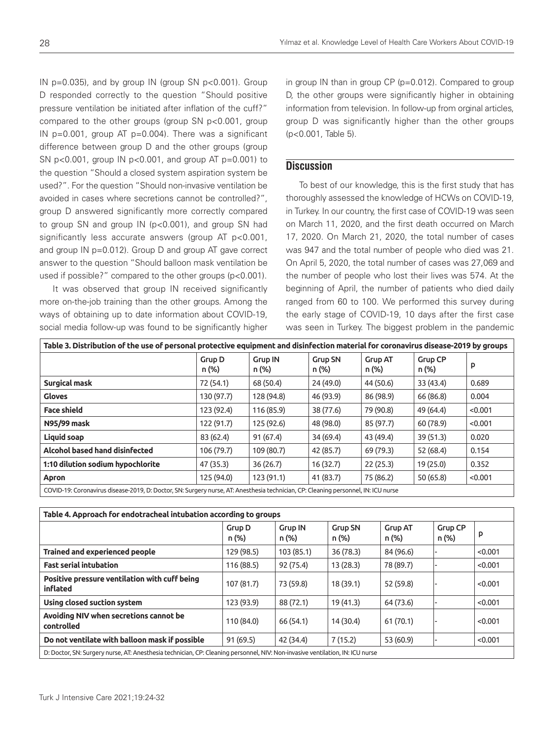IN  $p=0.035$ ), and by group IN (group SN  $p<0.001$ ). Group D responded correctly to the question "Should positive pressure ventilation be initiated after inflation of the cuff?" compared to the other groups (group SN p<0.001, group IN  $p=0.001$ , group AT  $p=0.004$ ). There was a significant difference between group D and the other groups (group SN p<0.001, group IN p<0.001, and group AT p=0.001) to the question "Should a closed system aspiration system be used?". For the question "Should non-invasive ventilation be avoided in cases where secretions cannot be controlled?", group D answered significantly more correctly compared to group SN and group IN (p<0.001), and group SN had significantly less accurate answers (group AT p<0.001, and group IN p=0.012). Group D and group AT gave correct answer to the question "Should balloon mask ventilation be used if possible?" compared to the other groups (p<0.001).

It was observed that group IN received significantly more on-the-job training than the other groups. Among the ways of obtaining up to date information about COVID-19, social media follow-up was found to be significantly higher in group IN than in group CP (p=0.012). Compared to group D, the other groups were significantly higher in obtaining information from television. In follow-up from orginal articles, group D was significantly higher than the other groups (p<0.001, Table 5).

# **Discussion**

To best of our knowledge, this is the first study that has thoroughly assessed the knowledge of HCWs on COVID-19, in Turkey. In our country, the first case of COVID-19 was seen on March 11, 2020, and the first death occurred on March 17, 2020. On March 21, 2020, the total number of cases was 947 and the total number of people who died was 21. On April 5, 2020, the total number of cases was 27,069 and the number of people who lost their lives was 574. At the beginning of April, the number of patients who died daily ranged from 60 to 100. We performed this survey during the early stage of COVID-19, 10 days after the first case was seen in Turkey. The biggest problem in the pandemic

| Table 3. Distribution of the use of personal protective equipment and disinfection material for coronavirus disease-2019 by groups |                 |                         |                         |                         |                         |         |  |
|------------------------------------------------------------------------------------------------------------------------------------|-----------------|-------------------------|-------------------------|-------------------------|-------------------------|---------|--|
|                                                                                                                                    | Grup D<br>n (%) | <b>Grup IN</b><br>n (%) | <b>Grup SN</b><br>n (%) | <b>Grup AT</b><br>n (%) | <b>Grup CP</b><br>n (%) | p       |  |
| Surgical mask                                                                                                                      | 72 (54.1)       | 68 (50.4)               | 24 (49.0)               | 44 (50.6)               | 33 (43.4)               | 0.689   |  |
| <b>Gloves</b>                                                                                                                      | 130 (97.7)      | 128 (94.8)              | 46 (93.9)               | 86 (98.9)               | 66 (86.8)               | 0.004   |  |
| <b>Face shield</b>                                                                                                                 | 123 (92.4)      | 116 (85.9)              | 38 (77.6)               | 79 (90.8)               | 49 (64.4)               | < 0.001 |  |
| N95/99 mask                                                                                                                        | 122 (91.7)      | 125 (92.6)              | 48 (98.0)               | 85 (97.7)               | 60 (78.9)               | < 0.001 |  |
| Liquid soap                                                                                                                        | 83 (62.4)       | 91(67.4)                | 34 (69.4)               | 43 (49.4)               | 39 (51.3)               | 0.020   |  |
| Alcohol based hand disinfected                                                                                                     | 106 (79.7)      | 109 (80.7)              | 42 (85.7)               | 69 (79.3)               | 52 (68.4)               | 0.154   |  |
| 1:10 dilution sodium hypochlorite                                                                                                  | 47 (35.3)       | 36(26.7)                | 16(32.7)                | 22(25.3)                | 19 (25.0)               | 0.352   |  |
| Apron                                                                                                                              | 125 (94.0)      | 123(91.1)               | 41 (83.7)               | 75 (86.2)               | 50 (65.8)               | < 0.001 |  |
| COVID-19: Coronavirus disease-2019, D: Doctor, SN: Surgery nurse, AT: Anesthesia technician, CP: Cleaning personnel, IN: ICU nurse |                 |                         |                         |                         |                         |         |  |

| Table 4. Approach for endotracheal intubation according to groups                                                             |                 |                         |                         |                         |                         |         |  |
|-------------------------------------------------------------------------------------------------------------------------------|-----------------|-------------------------|-------------------------|-------------------------|-------------------------|---------|--|
|                                                                                                                               | Grup D<br>n (%) | <b>Grup IN</b><br>n (%) | <b>Grup SN</b><br>n (%) | <b>Grup AT</b><br>n (%) | <b>Grup CP</b><br>n (%) | P       |  |
| <b>Trained and experienced people</b>                                                                                         | 129 (98.5)      | 103 (85.1)              | 36 (78.3)               | 84 (96.6)               |                         | < 0.001 |  |
| <b>Fast serial intubation</b>                                                                                                 | 116 (88.5)      | 92 (75.4)               | 13(28.3)                | 78 (89.7)               |                         | < 0.001 |  |
| Positive pressure ventilation with cuff being<br>inflated                                                                     | 107 (81.7)      | 73 (59.8)               | 18 (39.1)               | 52 (59.8)               |                         | < 0.001 |  |
| Using closed suction system                                                                                                   | 123 (93.9)      | 88 (72.1)               | 19 (41.3)               | 64 (73.6)               |                         | < 0.001 |  |
| Avoiding NIV when secretions cannot be<br>controlled                                                                          | 110 (84.0)      | 66 (54.1)               | 14 (30.4)               | 61(70.1)                |                         | < 0.001 |  |
| Do not ventilate with balloon mask if possible                                                                                | 91(69.5)        | 42 (34.4)               | 7(15.2)                 | 53 (60.9)               |                         | < 0.001 |  |
| D: Doctor, SN: Surgery nurse, AT: Anesthesia technician, CP: Cleaning personnel, NIV: Non-invasive ventilation, IN: ICU nurse |                 |                         |                         |                         |                         |         |  |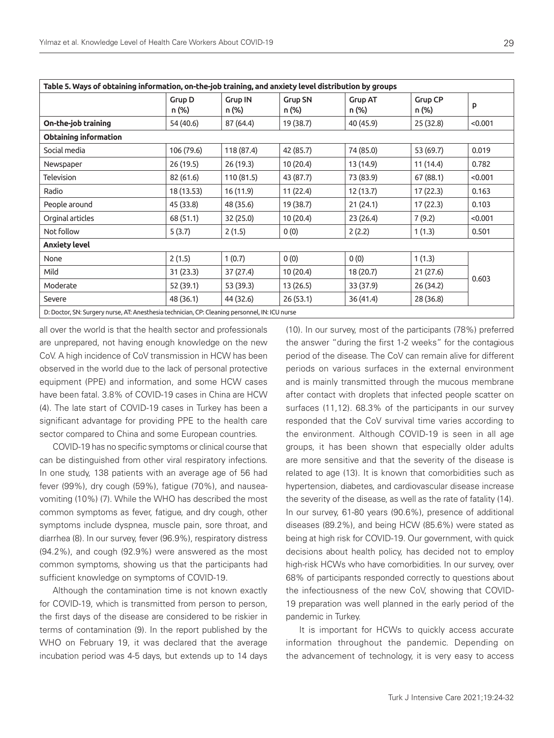| Table 5. Ways of obtaining information, on-the-job training, and anxiety level distribution by groups |                 |                         |                         |                         |                  |         |  |
|-------------------------------------------------------------------------------------------------------|-----------------|-------------------------|-------------------------|-------------------------|------------------|---------|--|
|                                                                                                       | Grup D<br>n (%) | <b>Grup IN</b><br>n (%) | <b>Grup SN</b><br>n (%) | <b>Grup AT</b><br>n (%) | Grup CP<br>n (%) | p       |  |
| On-the-job training                                                                                   | 54 (40.6)       | 87 (64.4)               | 19 (38.7)               | 40 (45.9)               | 25 (32.8)        | < 0.001 |  |
| <b>Obtaining information</b>                                                                          |                 |                         |                         |                         |                  |         |  |
| Social media                                                                                          | 106 (79.6)      | 118 (87.4)              | 42 (85.7)               | 74 (85.0)               | 53 (69.7)        | 0.019   |  |
| Newspaper                                                                                             | 26(19.5)        | 26(19.3)                | 10(20.4)                | 13 (14.9)               | 11(14.4)         | 0.782   |  |
| Television                                                                                            | 82 (61.6)       | 110 (81.5)              | 43 (87.7)               | 73 (83.9)               | 67 (88.1)        | < 0.001 |  |
| Radio                                                                                                 | 18 (13.53)      | 16 (11.9)               | 11(22.4)                | 12 (13.7)               | 17 (22.3)        | 0.163   |  |
| People around                                                                                         | 45 (33.8)       | 48 (35.6)               | 19 (38.7)               | 21 (24.1)               | 17 (22.3)        | 0.103   |  |
| Orginal articles                                                                                      | 68 (51.1)       | 32 (25.0)               | 10 (20.4)               | 23 (26.4)               | 7(9.2)           | < 0.001 |  |
| Not follow                                                                                            | 5(3.7)          | 2(1.5)                  | 0(0)                    | 2(2.2)                  | 1(1.3)           | 0.501   |  |
| <b>Anxiety level</b>                                                                                  |                 |                         |                         |                         |                  |         |  |
| None                                                                                                  | 2(1.5)          | 1(0.7)                  | 0(0)                    | 0(0)                    | 1(1.3)           | 0.603   |  |
| Mild                                                                                                  | 31(23.3)        | 37 (27.4)               | 10 (20.4)               | 18 (20.7)               | 21(27.6)         |         |  |
| Moderate                                                                                              | 52 (39.1)       | 53 (39.3)               | 13 (26.5)               | 33 (37.9)               | 26 (34.2)        |         |  |
| Severe                                                                                                | 48 (36.1)       | 44 (32.6)               | 26(53.1)                | 36 (41.4)               | 28(36.8)         |         |  |
| D: Doctor, SN: Surgery nurse, AT: Anesthesia technician, CP: Cleaning personnel, IN: ICU nurse        |                 |                         |                         |                         |                  |         |  |

all over the world is that the health sector and professionals are unprepared, not having enough knowledge on the new CoV. A high incidence of CoV transmission in HCW has been observed in the world due to the lack of personal protective equipment (PPE) and information, and some HCW cases have been fatal. 3.8% of COVID-19 cases in China are HCW (4). The late start of COVID-19 cases in Turkey has been a significant advantage for providing PPE to the health care sector compared to China and some European countries.

COVID-19 has no specific symptoms or clinical course that can be distinguished from other viral respiratory infections. In one study, 138 patients with an average age of 56 had fever (99%), dry cough (59%), fatigue (70%), and nauseavomiting (10%) (7). While the WHO has described the most common symptoms as fever, fatigue, and dry cough, other symptoms include dyspnea, muscle pain, sore throat, and diarrhea (8). In our survey, fever (96.9%), respiratory distress (94.2%), and cough (92.9%) were answered as the most common symptoms, showing us that the participants had sufficient knowledge on symptoms of COVID-19.

Although the contamination time is not known exactly for COVID-19, which is transmitted from person to person, the first days of the disease are considered to be riskier in terms of contamination (9). In the report published by the WHO on February 19, it was declared that the average incubation period was 4-5 days, but extends up to 14 days (10). In our survey, most of the participants (78%) preferred the answer "during the first 1-2 weeks" for the contagious period of the disease. The CoV can remain alive for different periods on various surfaces in the external environment and is mainly transmitted through the mucous membrane after contact with droplets that infected people scatter on surfaces (11,12). 68.3% of the participants in our survey responded that the CoV survival time varies according to the environment. Although COVID-19 is seen in all age groups, it has been shown that especially older adults are more sensitive and that the severity of the disease is related to age (13). It is known that comorbidities such as hypertension, diabetes, and cardiovascular disease increase the severity of the disease, as well as the rate of fatality (14). In our survey, 61-80 years (90.6%), presence of additional diseases (89.2%), and being HCW (85.6%) were stated as being at high risk for COVID-19. Our government, with quick decisions about health policy, has decided not to employ high-risk HCWs who have comorbidities. In our survey, over 68% of participants responded correctly to questions about the infectiousness of the new CoV, showing that COVID-19 preparation was well planned in the early period of the pandemic in Turkey.

It is important for HCWs to quickly access accurate information throughout the pandemic. Depending on the advancement of technology, it is very easy to access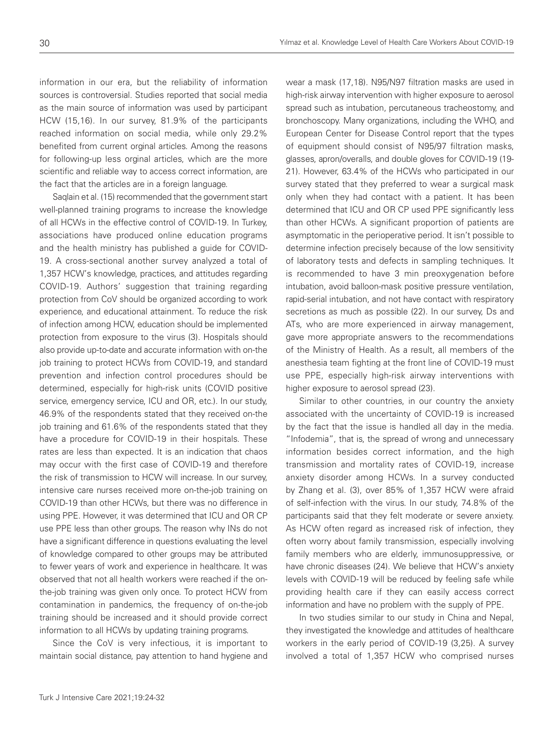information in our era, but the reliability of information sources is controversial. Studies reported that social media as the main source of information was used by participant HCW (15,16). In our survey, 81.9% of the participants reached information on social media, while only 29.2% benefited from current orginal articles. Among the reasons for following-up less orginal articles, which are the more scientific and reliable way to access correct information, are the fact that the articles are in a foreign language.

Saqlain et al. (15) recommended that the government start well-planned training programs to increase the knowledge of all HCWs in the effective control of COVID-19. In Turkey, associations have produced online education programs and the health ministry has published a guide for COVID-19. A cross-sectional another survey analyzed a total of 1,357 HCW's knowledge, practices, and attitudes regarding COVID-19. Authors' suggestion that training regarding protection from CoV should be organized according to work experience, and educational attainment. To reduce the risk of infection among HCW, education should be implemented protection from exposure to the virus (3). Hospitals should also provide up-to-date and accurate information with on-the job training to protect HCWs from COVID-19, and standard prevention and infection control procedures should be determined, especially for high-risk units (COVID positive service, emergency service, ICU and OR, etc.). In our study, 46.9% of the respondents stated that they received on-the job training and 61.6% of the respondents stated that they have a procedure for COVID-19 in their hospitals. These rates are less than expected. It is an indication that chaos may occur with the first case of COVID-19 and therefore the risk of transmission to HCW will increase. In our survey, intensive care nurses received more on-the-job training on COVID-19 than other HCWs, but there was no difference in using PPE. However, it was determined that ICU and OR CP use PPE less than other groups. The reason why INs do not have a significant difference in questions evaluating the level of knowledge compared to other groups may be attributed to fewer years of work and experience in healthcare. It was observed that not all health workers were reached if the onthe-job training was given only once. To protect HCW from contamination in pandemics, the frequency of on-the-job training should be increased and it should provide correct information to all HCWs by updating training programs.

Since the CoV is very infectious, it is important to maintain social distance, pay attention to hand hygiene and

wear a mask (17,18). N95/N97 filtration masks are used in high-risk airway intervention with higher exposure to aerosol spread such as intubation, percutaneous tracheostomy, and bronchoscopy. Many organizations, including the WHO, and European Center for Disease Control report that the types of equipment should consist of N95/97 filtration masks, glasses, apron/overalls, and double gloves for COVID-19 (19- 21). However, 63.4% of the HCWs who participated in our survey stated that they preferred to wear a surgical mask only when they had contact with a patient. It has been determined that ICU and OR CP used PPE significantly less than other HCWs. A significant proportion of patients are asymptomatic in the perioperative period. It isn't possible to determine infection precisely because of the low sensitivity of laboratory tests and defects in sampling techniques. It is recommended to have 3 min preoxygenation before intubation, avoid balloon-mask positive pressure ventilation, rapid-serial intubation, and not have contact with respiratory secretions as much as possible (22). In our survey, Ds and ATs, who are more experienced in airway management, gave more appropriate answers to the recommendations of the Ministry of Health. As a result, all members of the anesthesia team fighting at the front line of COVID-19 must use PPE, especially high-risk airway interventions with higher exposure to aerosol spread (23).

Similar to other countries, in our country the anxiety associated with the uncertainty of COVID-19 is increased by the fact that the issue is handled all day in the media. "Infodemia", that is, the spread of wrong and unnecessary information besides correct information, and the high transmission and mortality rates of COVID-19, increase anxiety disorder among HCWs. In a survey conducted by Zhang et al. (3), over 85% of 1,357 HCW were afraid of self-infection with the virus. In our study, 74.8% of the participants said that they felt moderate or severe anxiety. As HCW often regard as increased risk of infection, they often worry about family transmission, especially involving family members who are elderly, immunosuppressive, or have chronic diseases (24). We believe that HCW's anxiety levels with COVID-19 will be reduced by feeling safe while providing health care if they can easily access correct information and have no problem with the supply of PPE.

In two studies similar to our study in China and Nepal, they investigated the knowledge and attitudes of healthcare workers in the early period of COVID-19 (3,25). A survey involved a total of 1,357 HCW who comprised nurses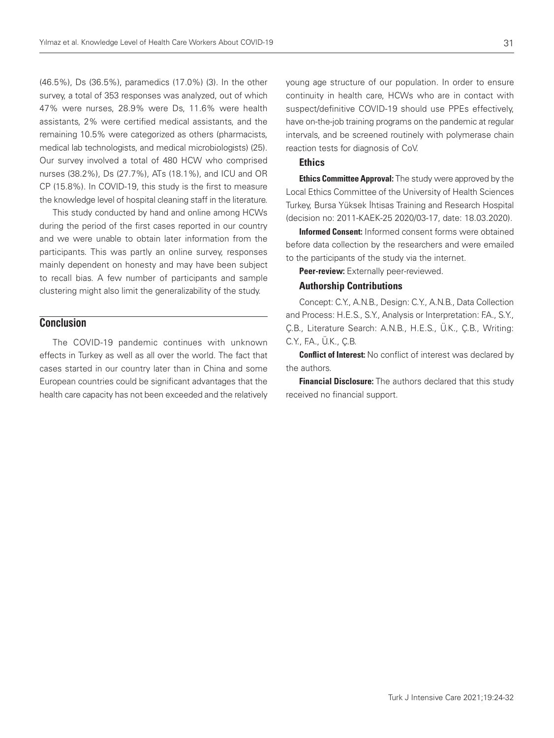(46.5%), Ds (36.5%), paramedics (17.0%) (3). In the other survey, a total of 353 responses was analyzed, out of which 47% were nurses, 28.9% were Ds, 11.6% were health assistants, 2% were certified medical assistants, and the remaining 10.5% were categorized as others (pharmacists, medical lab technologists, and medical microbiologists) (25). Our survey involved a total of 480 HCW who comprised nurses (38.2%), Ds (27.7%), ATs (18.1%), and ICU and OR CP (15.8%). In COVID-19, this study is the first to measure the knowledge level of hospital cleaning staff in the literature.

This study conducted by hand and online among HCWs during the period of the first cases reported in our country and we were unable to obtain later information from the participants. This was partly an online survey, responses mainly dependent on honesty and may have been subject to recall bias. A few number of participants and sample clustering might also limit the generalizability of the study.

# **Conclusion**

The COVID-19 pandemic continues with unknown effects in Turkey as well as all over the world. The fact that cases started in our country later than in China and some European countries could be significant advantages that the health care capacity has not been exceeded and the relatively young age structure of our population. In order to ensure continuity in health care, HCWs who are in contact with suspect/definitive COVID-19 should use PPEs effectively, have on-the-job training programs on the pandemic at regular intervals, and be screened routinely with polymerase chain reaction tests for diagnosis of CoV.

## **Ethics**

**Ethics Committee Approval:** The study were approved by the Local Ethics Committee of the University of Health Sciences Turkey, Bursa Yüksek İhtisas Training and Research Hospital (decision no: 2011-KAEK-25 2020/03-17, date: 18.03.2020).

Informed Consent: Informed consent forms were obtained before data collection by the researchers and were emailed to the participants of the study via the internet.

Peer-review: Externally peer-reviewed.

## Authorship Contributions

Concept: C.Y., A.N.B., Design: C.Y., A.N.B., Data Collection and Process: H.E.S., S.Y., Analysis or Interpretation: F.A., S.Y., Ç.B., Literature Search: A.N.B., H.E.S., Ü.K., Ç.B., Writing: C.Y., F.A., Ü.K., C.B.

**Conflict of Interest:** No conflict of interest was declared by the authors.

Financial Disclosure: The authors declared that this study received no financial support.